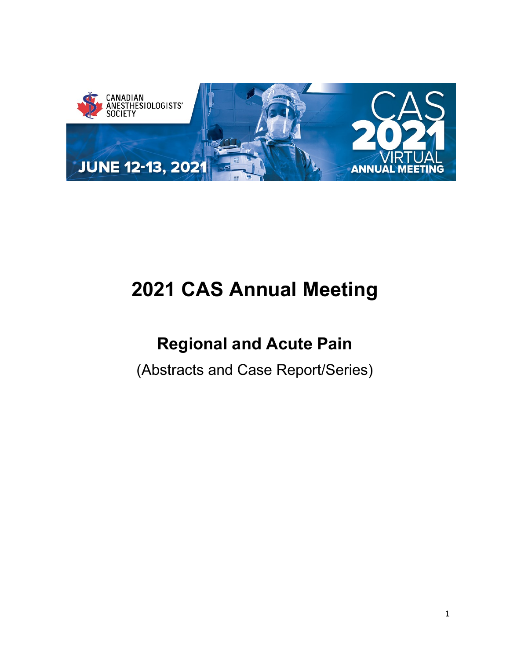

# **2021 CAS Annual Meeting**

## **Regional and Acute Pain**

(Abstracts and Case Report/Series)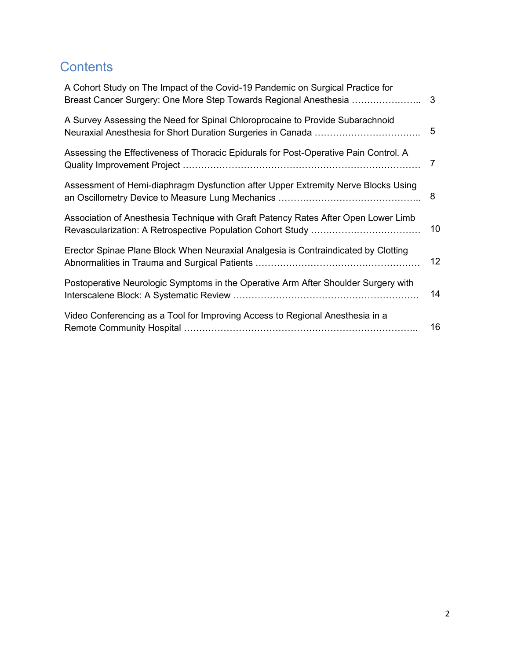### **Contents**

| A Cohort Study on The Impact of the Covid-19 Pandemic on Surgical Practice for<br>Breast Cancer Surgery: One More Step Towards Regional Anesthesia | 3  |
|----------------------------------------------------------------------------------------------------------------------------------------------------|----|
| A Survey Assessing the Need for Spinal Chloroprocaine to Provide Subarachnoid                                                                      | 5  |
| Assessing the Effectiveness of Thoracic Epidurals for Post-Operative Pain Control. A                                                               | 7  |
| Assessment of Hemi-diaphragm Dysfunction after Upper Extremity Nerve Blocks Using                                                                  | 8  |
| Association of Anesthesia Technique with Graft Patency Rates After Open Lower Limb                                                                 | 10 |
| Erector Spinae Plane Block When Neuraxial Analgesia is Contraindicated by Clotting                                                                 | 12 |
| Postoperative Neurologic Symptoms in the Operative Arm After Shoulder Surgery with                                                                 | 14 |
| Video Conferencing as a Tool for Improving Access to Regional Anesthesia in a                                                                      | 16 |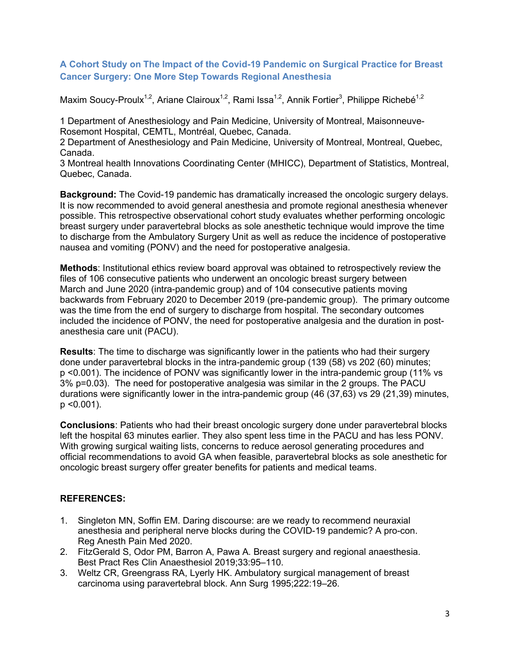#### <span id="page-2-0"></span>**A Cohort Study on The Impact of the Covid-19 Pandemic on Surgical Practice for Breast Cancer Surgery: One More Step Towards Regional Anesthesia**

Maxim Soucy-Proulx<sup>1,2</sup>, Ariane Clairoux<sup>1,2</sup>, Rami Issa<sup>1,2</sup>, Annik Fortier<sup>3</sup>, Philippe Richebé<sup>1,2</sup>

1 Department of Anesthesiology and Pain Medicine, University of Montreal, Maisonneuve-Rosemont Hospital, CEMTL, Montréal, Quebec, Canada.

2 Department of Anesthesiology and Pain Medicine, University of Montreal, Montreal, Quebec, Canada.

3 Montreal health Innovations Coordinating Center (MHICC), Department of Statistics, Montreal, Quebec, Canada.

**Background:** The Covid-19 pandemic has dramatically increased the oncologic surgery delays. It is now recommended to avoid general anesthesia and promote regional anesthesia whenever possible. This retrospective observational cohort study evaluates whether performing oncologic breast surgery under paravertebral blocks as sole anesthetic technique would improve the time to discharge from the Ambulatory Surgery Unit as well as reduce the incidence of postoperative nausea and vomiting (PONV) and the need for postoperative analgesia.

**Methods**: Institutional ethics review board approval was obtained to retrospectively review the files of 106 consecutive patients who underwent an oncologic breast surgery between March and June 2020 (intra-pandemic group) and of 104 consecutive patients moving backwards from February 2020 to December 2019 (pre-pandemic group). The primary outcome was the time from the end of surgery to discharge from hospital. The secondary outcomes included the incidence of PONV, the need for postoperative analgesia and the duration in postanesthesia care unit (PACU).

**Results**: The time to discharge was significantly lower in the patients who had their surgery done under paravertebral blocks in the intra-pandemic group (139 (58) vs 202 (60) minutes; p <0.001). The incidence of PONV was significantly lower in the intra-pandemic group (11% vs 3% p=0.03). The need for postoperative analgesia was similar in the 2 groups. The PACU durations were significantly lower in the intra-pandemic group (46 (37,63) vs 29 (21,39) minutes,  $p$  < 0.001).

**Conclusions**: Patients who had their breast oncologic surgery done under paravertebral blocks left the hospital 63 minutes earlier. They also spent less time in the PACU and has less PONV. With growing surgical waiting lists, concerns to reduce aerosol generating procedures and official recommendations to avoid GA when feasible, paravertebral blocks as sole anesthetic for oncologic breast surgery offer greater benefits for patients and medical teams.

- 1. Singleton MN, Soffin EM. Daring discourse: are we ready to recommend neuraxial anesthesia and peripheral nerve blocks during the COVID-19 pandemic? A pro-con. Reg Anesth Pain Med 2020.
- 2. FitzGerald S, Odor PM, Barron A, Pawa A. Breast surgery and regional anaesthesia. Best Pract Res Clin Anaesthesiol 2019;33:95–110.
- 3. Weltz CR, Greengrass RA, Lyerly HK. Ambulatory surgical management of breast carcinoma using paravertebral block. Ann Surg 1995;222:19–26.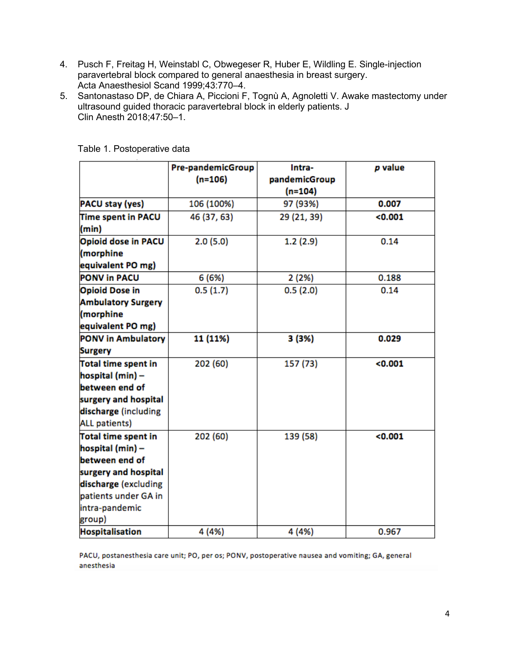- 4. Pusch F, Freitag H, Weinstabl C, Obwegeser R, Huber E, Wildling E. Single-injection paravertebral block compared to general anaesthesia in breast surgery. Acta Anaesthesiol Scand 1999;43:770–4.
- 5. Santonastaso DP, de Chiara A, Piccioni F, Tognù A, Agnoletti V. Awake mastectomy under ultrasound guided thoracic paravertebral block in elderly patients. J Clin Anesth 2018;47:50–1.

|                                                                                          | Pre-pandemicGroup<br>$(n=106)$ | Intra-<br>pandemicGroup | p value |
|------------------------------------------------------------------------------------------|--------------------------------|-------------------------|---------|
|                                                                                          |                                | $(n=104)$               |         |
| PACU stay (yes)                                                                          | 106 (100%)                     | 97 (93%)                | 0.007   |
| Time spent in PACU<br>(min)                                                              | 46 (37, 63)                    | 29 (21, 39)             | < 0.001 |
| Opioid dose in PACU<br>(morphine                                                         | 2.0(5.0)                       | 1.2(2.9)                | 0.14    |
| equivalent PO mg)                                                                        |                                |                         |         |
| <b>PONV in PACU</b>                                                                      | 6 (6%)                         | 2 (2%)                  | 0.188   |
| <b>Opioid Dose in</b><br><b>Ambulatory Surgery</b><br>(morphine<br>equivalent PO mg)     | 0.5(1.7)                       | 0.5(2.0)                | 0.14    |
| <b>PONV in Ambulatory</b><br><b>Surgery</b>                                              | 11 (11%)                       | 3 (3%)                  | 0.029   |
| Total time spent in<br>hospital (min) -                                                  | 202 (60)                       | 157 (73)                | < 0.001 |
| between end of<br>surgery and hospital<br>discharge (including<br><b>ALL patients)</b>   |                                |                         |         |
| <b>Total time spent in</b><br>hospital (min) -<br>between end of<br>surgery and hospital | 202 (60)                       | 139 (58)                | < 0.001 |
| discharge (excluding<br>patients under GA in<br>intra-pandemic<br>group)                 |                                |                         |         |
| <b>Hospitalisation</b>                                                                   | 4 (4%)                         | 4 (4%)                  | 0.967   |

Table 1. Postoperative data

PACU, postanesthesia care unit; PO, per os; PONV, postoperative nausea and vomiting; GA, general anesthesia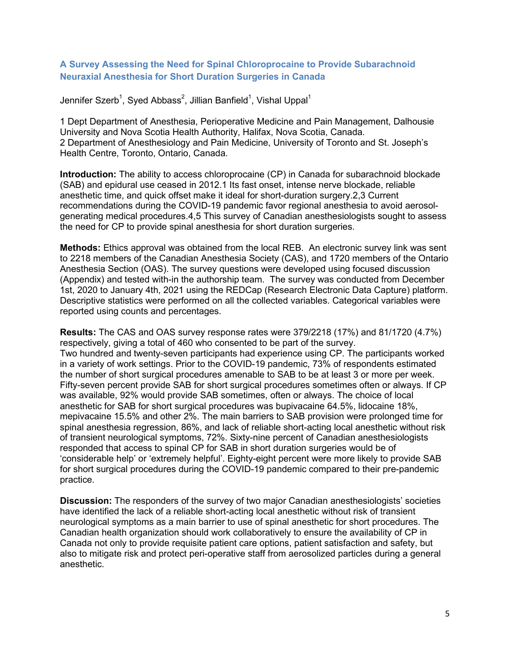#### <span id="page-4-0"></span>**A Survey Assessing the Need for Spinal Chloroprocaine to Provide Subarachnoid Neuraxial Anesthesia for Short Duration Surgeries in Canada**

Jennifer Szerb $^1$ , Syed Abbass $^2$ , Jillian Banfield $^1$ , Vishal Uppal $^1$ 

1 Dept Department of Anesthesia, Perioperative Medicine and Pain Management, Dalhousie University and Nova Scotia Health Authority, Halifax, Nova Scotia, Canada. 2 Department of Anesthesiology and Pain Medicine, University of Toronto and St. Joseph's Health Centre, Toronto, Ontario, Canada.

**Introduction:** The ability to access chloroprocaine (CP) in Canada for subarachnoid blockade (SAB) and epidural use ceased in 2012.1 Its fast onset, intense nerve blockade, reliable anesthetic time, and quick offset make it ideal for short-duration surgery.2,3 Current recommendations during the COVID-19 pandemic favor regional anesthesia to avoid aerosolgenerating medical procedures.4,5 This survey of Canadian anesthesiologists sought to assess the need for CP to provide spinal anesthesia for short duration surgeries.

**Methods:** Ethics approval was obtained from the local REB. An electronic survey link was sent to 2218 members of the Canadian Anesthesia Society (CAS), and 1720 members of the Ontario Anesthesia Section (OAS). The survey questions were developed using focused discussion (Appendix) and tested with-in the authorship team. The survey was conducted from December 1st, 2020 to January 4th, 2021 using the REDCap (Research Electronic Data Capture) platform. Descriptive statistics were performed on all the collected variables. Categorical variables were reported using counts and percentages.

**Results:** The CAS and OAS survey response rates were 379/2218 (17%) and 81/1720 (4.7%) respectively, giving a total of 460 who consented to be part of the survey. Two hundred and twenty-seven participants had experience using CP. The participants worked in a variety of work settings. Prior to the COVID-19 pandemic, 73% of respondents estimated the number of short surgical procedures amenable to SAB to be at least 3 or more per week. Fifty-seven percent provide SAB for short surgical procedures sometimes often or always. If CP was available, 92% would provide SAB sometimes, often or always. The choice of local anesthetic for SAB for short surgical procedures was bupivacaine 64.5%, lidocaine 18%, mepivacaine 15.5% and other 2%. The main barriers to SAB provision were prolonged time for spinal anesthesia regression, 86%, and lack of reliable short-acting local anesthetic without risk of transient neurological symptoms, 72%. Sixty-nine percent of Canadian anesthesiologists responded that access to spinal CP for SAB in short duration surgeries would be of 'considerable help' or 'extremely helpful'. Eighty-eight percent were more likely to provide SAB for short surgical procedures during the COVID-19 pandemic compared to their pre-pandemic practice.

**Discussion:** The responders of the survey of two major Canadian anesthesiologists' societies have identified the lack of a reliable short-acting local anesthetic without risk of transient neurological symptoms as a main barrier to use of spinal anesthetic for short procedures. The Canadian health organization should work collaboratively to ensure the availability of CP in Canada not only to provide requisite patient care options, patient satisfaction and safety, but also to mitigate risk and protect peri-operative staff from aerosolized particles during a general anesthetic.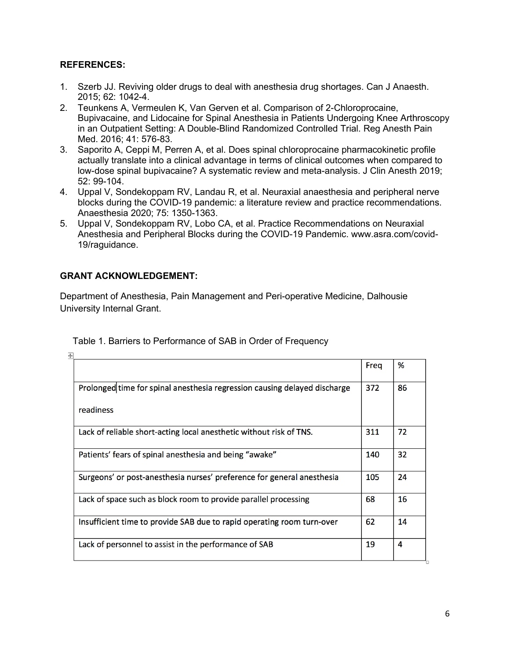#### **REFERENCES:**

- 1. Szerb JJ. Reviving older drugs to deal with anesthesia drug shortages. Can J Anaesth. 2015; 62: 1042-4.
- 2. Teunkens A, Vermeulen K, Van Gerven et al. Comparison of 2-Chloroprocaine, Bupivacaine, and Lidocaine for Spinal Anesthesia in Patients Undergoing Knee Arthroscopy in an Outpatient Setting: A Double-Blind Randomized Controlled Trial. Reg Anesth Pain Med. 2016; 41: 576-83.
- 3. Saporito A, Ceppi M, Perren A, et al. Does spinal chloroprocaine pharmacokinetic profile actually translate into a clinical advantage in terms of clinical outcomes when compared to low-dose spinal bupivacaine? A systematic review and meta-analysis. J Clin Anesth 2019; 52: 99-104.
- 4. Uppal V, Sondekoppam RV, Landau R, et al. Neuraxial anaesthesia and peripheral nerve blocks during the COVID-19 pandemic: a literature review and practice recommendations. Anaesthesia 2020; 75: 1350-1363.
- 5. Uppal V, Sondekoppam RV, Lobo CA, et al. Practice Recommendations on Neuraxial Anesthesia and Peripheral Blocks during the COVID-19 Pandemic. www.asra.com/covid-19/raguidance.

#### **GRANT ACKNOWLEDGEMENT:**

Department of Anesthesia, Pain Management and Peri-operative Medicine, Dalhousie University Internal Grant.

|                                                                           | Freg | %  |
|---------------------------------------------------------------------------|------|----|
| Prolonged time for spinal anesthesia regression causing delayed discharge | 372  | 86 |
| readiness                                                                 |      |    |
| Lack of reliable short-acting local anesthetic without risk of TNS.       | 311  | 72 |
| Patients' fears of spinal anesthesia and being "awake"                    | 140  | 32 |
| Surgeons' or post-anesthesia nurses' preference for general anesthesia    | 105  | 24 |
| Lack of space such as block room to provide parallel processing           | 68   | 16 |
| Insufficient time to provide SAB due to rapid operating room turn-over    | 62   | 14 |
| Lack of personnel to assist in the performance of SAB                     | 19   | 4  |

Table 1. Barriers to Performance of SAB in Order of Frequency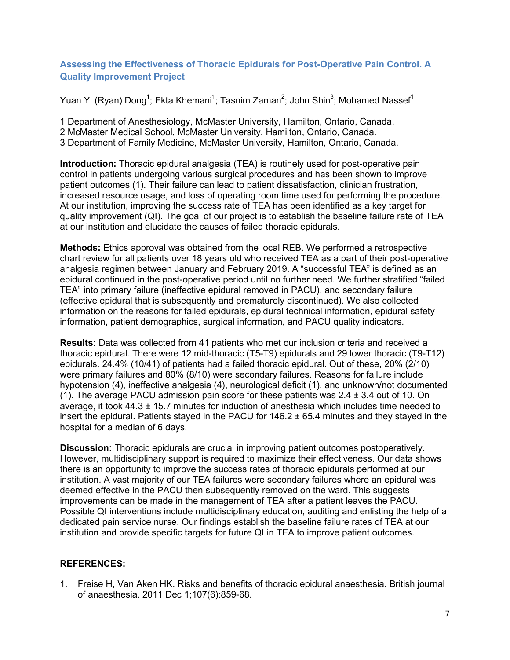#### <span id="page-6-0"></span>**Assessing the Effectiveness of Thoracic Epidurals for Post-Operative Pain Control. A Quality Improvement Project**

Yuan Yi (Ryan) Dong $^1$ ; Ekta Khemani $^1$ ; Tasnim Zaman $^2$ ; John Shin $^3$ ; Mohamed Nassef $^1$ 

1 Department of Anesthesiology, McMaster University, Hamilton, Ontario, Canada.

2 McMaster Medical School, McMaster University, Hamilton, Ontario, Canada.

3 Department of Family Medicine, McMaster University, Hamilton, Ontario, Canada.

**Introduction:** Thoracic epidural analgesia (TEA) is routinely used for post-operative pain control in patients undergoing various surgical procedures and has been shown to improve patient outcomes (1). Their failure can lead to patient dissatisfaction, clinician frustration, increased resource usage, and loss of operating room time used for performing the procedure. At our institution, improving the success rate of TEA has been identified as a key target for quality improvement (QI). The goal of our project is to establish the baseline failure rate of TEA at our institution and elucidate the causes of failed thoracic epidurals.

**Methods:** Ethics approval was obtained from the local REB. We performed a retrospective chart review for all patients over 18 years old who received TEA as a part of their post-operative analgesia regimen between January and February 2019. A "successful TEA" is defined as an epidural continued in the post-operative period until no further need. We further stratified "failed TEA" into primary failure (ineffective epidural removed in PACU), and secondary failure (effective epidural that is subsequently and prematurely discontinued). We also collected information on the reasons for failed epidurals, epidural technical information, epidural safety information, patient demographics, surgical information, and PACU quality indicators.

**Results:** Data was collected from 41 patients who met our inclusion criteria and received a thoracic epidural. There were 12 mid-thoracic (T5-T9) epidurals and 29 lower thoracic (T9-T12) epidurals. 24.4% (10/41) of patients had a failed thoracic epidural. Out of these, 20% (2/10) were primary failures and 80% (8/10) were secondary failures. Reasons for failure include hypotension (4), ineffective analgesia (4), neurological deficit (1), and unknown/not documented (1). The average PACU admission pain score for these patients was  $2.4 \pm 3.4$  out of 10. On average, it took  $44.3 \pm 15.7$  minutes for induction of anesthesia which includes time needed to insert the epidural. Patients stayed in the PACU for  $146.2 \pm 65.4$  minutes and they stayed in the hospital for a median of 6 days.

**Discussion:** Thoracic epidurals are crucial in improving patient outcomes postoperatively. However, multidisciplinary support is required to maximize their effectiveness. Our data shows there is an opportunity to improve the success rates of thoracic epidurals performed at our institution. A vast majority of our TEA failures were secondary failures where an epidural was deemed effective in the PACU then subsequently removed on the ward. This suggests improvements can be made in the management of TEA after a patient leaves the PACU. Possible QI interventions include multidisciplinary education, auditing and enlisting the help of a dedicated pain service nurse. Our findings establish the baseline failure rates of TEA at our institution and provide specific targets for future QI in TEA to improve patient outcomes.

#### **REFERENCES:**

1. Freise H, Van Aken HK. Risks and benefits of thoracic epidural anaesthesia. British journal of anaesthesia. 2011 Dec 1;107(6):859-68.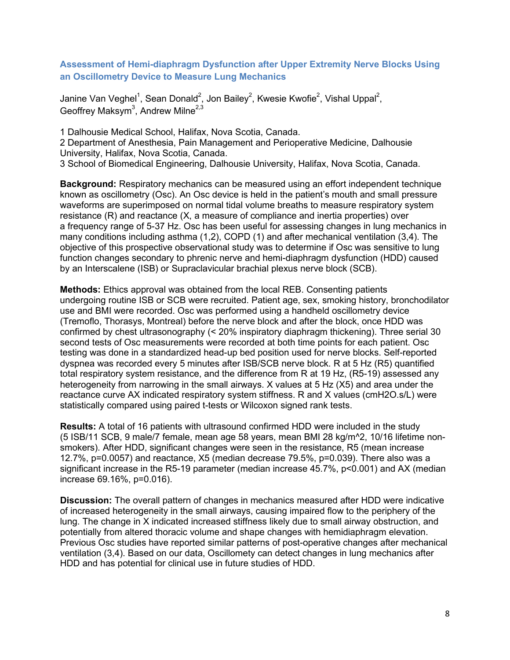#### <span id="page-7-0"></span>**Assessment of Hemi-diaphragm Dysfunction after Upper Extremity Nerve Blocks Using an Oscillometry Device to Measure Lung Mechanics**

Janine Van Veghel $^{\mathsf{1}}$ , Sean Donald $^{\mathsf{2}}$ , Jon Bailey $^{\mathsf{2}}$ , Kwesie Kwofie $^{\mathsf{2}}$ , Vishal Uppal $^{\mathsf{2}}$ , Geoffrey Maksym $^3$ , Andrew Milne $^{2,3}$ 

1 Dalhousie Medical School, Halifax, Nova Scotia, Canada. 2 Department of Anesthesia, Pain Management and Perioperative Medicine, Dalhousie University, Halifax, Nova Scotia, Canada.

3 School of Biomedical Engineering, Dalhousie University, Halifax, Nova Scotia, Canada.

**Background:** Respiratory mechanics can be measured using an effort independent technique known as oscillometry (Osc). An Osc device is held in the patient's mouth and small pressure waveforms are superimposed on normal tidal volume breaths to measure respiratory system resistance (R) and reactance (X, a measure of compliance and inertia properties) over a frequency range of 5-37 Hz. Osc has been useful for assessing changes in lung mechanics in many conditions including asthma (1,2), COPD (1) and after mechanical ventilation (3,4). The objective of this prospective observational study was to determine if Osc was sensitive to lung function changes secondary to phrenic nerve and hemi-diaphragm dysfunction (HDD) caused by an Interscalene (ISB) or Supraclavicular brachial plexus nerve block (SCB).

**Methods:** Ethics approval was obtained from the local REB. Consenting patients undergoing routine ISB or SCB were recruited. Patient age, sex, smoking history, bronchodilator use and BMI were recorded. Osc was performed using a handheld oscillometry device (Tremoflo, Thorasys, Montreal) before the nerve block and after the block, once HDD was confirmed by chest ultrasonography (< 20% inspiratory diaphragm thickening). Three serial 30 second tests of Osc measurements were recorded at both time points for each patient. Osc testing was done in a standardized head-up bed position used for nerve blocks. Self-reported dyspnea was recorded every 5 minutes after ISB/SCB nerve block. R at 5 Hz (R5) quantified total respiratory system resistance, and the difference from R at 19 Hz, (R5-19) assessed any heterogeneity from narrowing in the small airways. X values at 5 Hz (X5) and area under the reactance curve AX indicated respiratory system stiffness. R and X values (cmH2O.s/L) were statistically compared using paired t-tests or Wilcoxon signed rank tests.

**Results:** A total of 16 patients with ultrasound confirmed HDD were included in the study (5 ISB/11 SCB, 9 male/7 female, mean age 58 years, mean BMI 28 kg/m^2, 10/16 lifetime nonsmokers). After HDD, significant changes were seen in the resistance, R5 (mean increase 12.7%, p=0.0057) and reactance, X5 (median decrease 79.5%, p=0.039). There also was a significant increase in the R5-19 parameter (median increase 45.7%, p<0.001) and AX (median increase 69.16%, p=0.016).

**Discussion:** The overall pattern of changes in mechanics measured after HDD were indicative of increased heterogeneity in the small airways, causing impaired flow to the periphery of the lung. The change in X indicated increased stiffness likely due to small airway obstruction, and potentially from altered thoracic volume and shape changes with hemidiaphragm elevation. Previous Osc studies have reported similar patterns of post-operative changes after mechanical ventilation (3,4). Based on our data, Oscillomety can detect changes in lung mechanics after HDD and has potential for clinical use in future studies of HDD.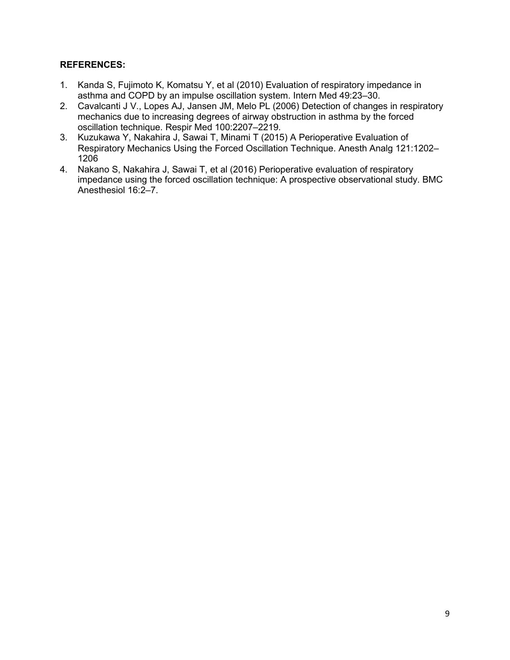- 1. Kanda S, Fujimoto K, Komatsu Y, et al (2010) Evaluation of respiratory impedance in asthma and COPD by an impulse oscillation system. Intern Med 49:23–30.
- 2. Cavalcanti J V., Lopes AJ, Jansen JM, Melo PL (2006) Detection of changes in respiratory mechanics due to increasing degrees of airway obstruction in asthma by the forced oscillation technique. Respir Med 100:2207–2219.
- 3. Kuzukawa Y, Nakahira J, Sawai T, Minami T (2015) A Perioperative Evaluation of Respiratory Mechanics Using the Forced Oscillation Technique. Anesth Analg 121:1202– 1206
- 4. Nakano S, Nakahira J, Sawai T, et al (2016) Perioperative evaluation of respiratory impedance using the forced oscillation technique: A prospective observational study. BMC Anesthesiol 16:2–7.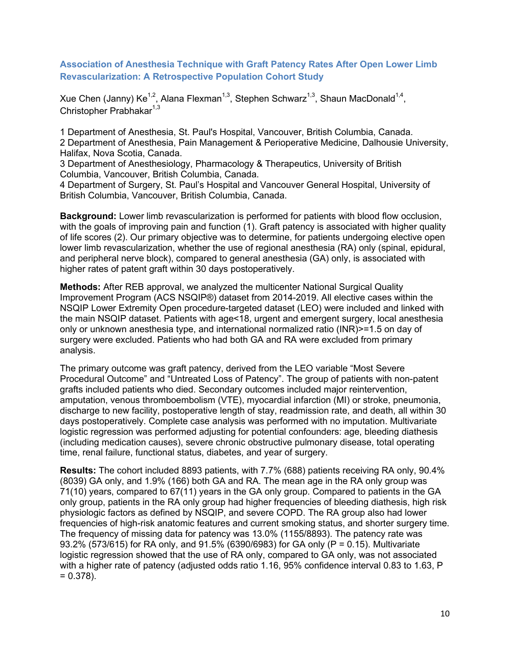#### <span id="page-9-0"></span>**Association of Anesthesia Technique with Graft Patency Rates After Open Lower Limb Revascularization: A Retrospective Population Cohort Study**

Xue Chen (Janny) Ke<sup>1,2</sup>, Alana Flexman<sup>1,3</sup>, Stephen Schwarz<sup>1,3</sup>, Shaun MacDonald<sup>1,4</sup>, Christopher Prabhakar $1,3$ 

1 Department of Anesthesia, St. Paul's Hospital, Vancouver, British Columbia, Canada. 2 Department of Anesthesia, Pain Management & Perioperative Medicine, Dalhousie University, Halifax, Nova Scotia, Canada.

3 Department of Anesthesiology, Pharmacology & Therapeutics, University of British Columbia, Vancouver, British Columbia, Canada.

4 Department of Surgery, St. Paul's Hospital and Vancouver General Hospital, University of British Columbia, Vancouver, British Columbia, Canada.

**Background:** Lower limb revascularization is performed for patients with blood flow occlusion, with the goals of improving pain and function (1). Graft patency is associated with higher quality of life scores (2). Our primary objective was to determine, for patients undergoing elective open lower limb revascularization, whether the use of regional anesthesia (RA) only (spinal, epidural, and peripheral nerve block), compared to general anesthesia (GA) only, is associated with higher rates of patent graft within 30 days postoperatively.

**Methods:** After REB approval, we analyzed the multicenter National Surgical Quality Improvement Program (ACS NSQIP®) dataset from 2014-2019. All elective cases within the NSQIP Lower Extremity Open procedure-targeted dataset (LEO) were included and linked with the main NSQIP dataset. Patients with age<18, urgent and emergent surgery, local anesthesia only or unknown anesthesia type, and international normalized ratio (INR)>=1.5 on day of surgery were excluded. Patients who had both GA and RA were excluded from primary analysis.

The primary outcome was graft patency, derived from the LEO variable "Most Severe Procedural Outcome" and "Untreated Loss of Patency". The group of patients with non-patent grafts included patients who died. Secondary outcomes included major reintervention, amputation, venous thromboembolism (VTE), myocardial infarction (MI) or stroke, pneumonia, discharge to new facility, postoperative length of stay, readmission rate, and death, all within 30 days postoperatively. Complete case analysis was performed with no imputation. Multivariate logistic regression was performed adjusting for potential confounders: age, bleeding diathesis (including medication causes), severe chronic obstructive pulmonary disease, total operating time, renal failure, functional status, diabetes, and year of surgery.

**Results:** The cohort included 8893 patients, with 7.7% (688) patients receiving RA only, 90.4% (8039) GA only, and 1.9% (166) both GA and RA. The mean age in the RA only group was 71(10) years, compared to 67(11) years in the GA only group. Compared to patients in the GA only group, patients in the RA only group had higher frequencies of bleeding diathesis, high risk physiologic factors as defined by NSQIP, and severe COPD. The RA group also had lower frequencies of high-risk anatomic features and current smoking status, and shorter surgery time. The frequency of missing data for patency was 13.0% (1155/8893). The patency rate was 93.2% (573/615) for RA only, and 91.5% (6390/6983) for GA only (P = 0.15). Multivariate logistic regression showed that the use of RA only, compared to GA only, was not associated with a higher rate of patency (adjusted odds ratio 1.16, 95% confidence interval 0.83 to 1.63, P  $= 0.378$ ).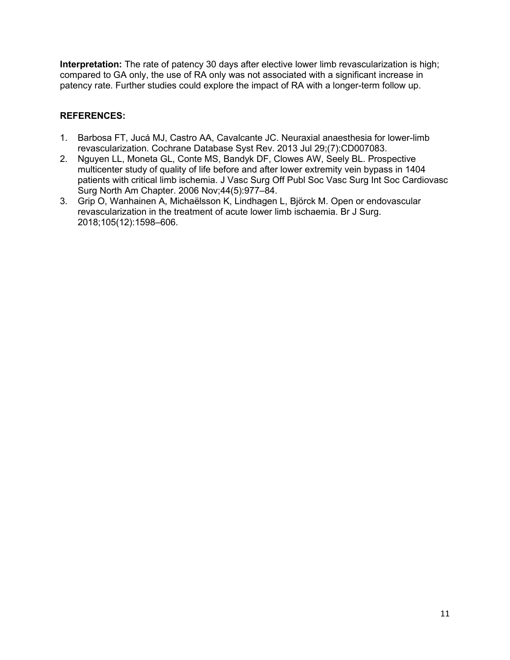**Interpretation:** The rate of patency 30 days after elective lower limb revascularization is high; compared to GA only, the use of RA only was not associated with a significant increase in patency rate. Further studies could explore the impact of RA with a longer-term follow up.

- 1. Barbosa FT, Jucá MJ, Castro AA, Cavalcante JC. Neuraxial anaesthesia for lower-limb revascularization. Cochrane Database Syst Rev. 2013 Jul 29;(7):CD007083.
- 2. Nguyen LL, Moneta GL, Conte MS, Bandyk DF, Clowes AW, Seely BL. Prospective multicenter study of quality of life before and after lower extremity vein bypass in 1404 patients with critical limb ischemia. J Vasc Surg Off Publ Soc Vasc Surg Int Soc Cardiovasc Surg North Am Chapter. 2006 Nov;44(5):977–84.
- 3. Grip O, Wanhainen A, Michaëlsson K, Lindhagen L, Björck M. Open or endovascular revascularization in the treatment of acute lower limb ischaemia. Br J Surg. 2018;105(12):1598–606.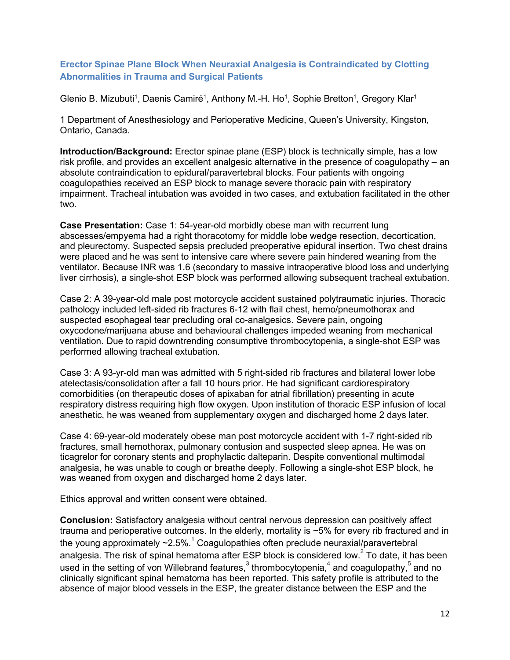#### <span id="page-11-0"></span>**Erector Spinae Plane Block When Neuraxial Analgesia is Contraindicated by Clotting Abnormalities in Trauma and Surgical Patients**

Glenio B. Mizubuti<sup>1</sup>, Daenis Camiré<sup>1</sup>, Anthony M.-H. Ho<sup>1</sup>, Sophie Bretton<sup>1</sup>, Gregory Klar<sup>1</sup>

1 Department of Anesthesiology and Perioperative Medicine, Queen's University, Kingston, Ontario, Canada.

**Introduction/Background:** Erector spinae plane (ESP) block is technically simple, has a low risk profile, and provides an excellent analgesic alternative in the presence of coagulopathy – an absolute contraindication to epidural/paravertebral blocks. Four patients with ongoing coagulopathies received an ESP block to manage severe thoracic pain with respiratory impairment. Tracheal intubation was avoided in two cases, and extubation facilitated in the other two.

**Case Presentation:** Case 1: 54-year-old morbidly obese man with recurrent lung abscesses/empyema had a right thoracotomy for middle lobe wedge resection, decortication, and pleurectomy. Suspected sepsis precluded preoperative epidural insertion. Two chest drains were placed and he was sent to intensive care where severe pain hindered weaning from the ventilator. Because INR was 1.6 (secondary to massive intraoperative blood loss and underlying liver cirrhosis), a single-shot ESP block was performed allowing subsequent tracheal extubation.

Case 2: A 39-year-old male post motorcycle accident sustained polytraumatic injuries. Thoracic pathology included left-sided rib fractures 6-12 with flail chest, hemo/pneumothorax and suspected esophageal tear precluding oral co-analgesics. Severe pain, ongoing oxycodone/marijuana abuse and behavioural challenges impeded weaning from mechanical ventilation. Due to rapid downtrending consumptive thrombocytopenia, a single-shot ESP was performed allowing tracheal extubation.

Case 3: A 93-yr-old man was admitted with 5 right-sided rib fractures and bilateral lower lobe atelectasis/consolidation after a fall 10 hours prior. He had significant cardiorespiratory comorbidities (on therapeutic doses of apixaban for atrial fibrillation) presenting in acute respiratory distress requiring high flow oxygen. Upon institution of thoracic ESP infusion of local anesthetic, he was weaned from supplementary oxygen and discharged home 2 days later.

Case 4: 69-year-old moderately obese man post motorcycle accident with 1-7 right-sided rib fractures, small hemothorax, pulmonary contusion and suspected sleep apnea. He was on ticagrelor for coronary stents and prophylactic dalteparin. Despite conventional multimodal analgesia, he was unable to cough or breathe deeply. Following a single-shot ESP block, he was weaned from oxygen and discharged home 2 days later.

Ethics approval and written consent were obtained.

**Conclusion:** Satisfactory analgesia without central nervous depression can positively affect trauma and perioperative outcomes. In the elderly, mortality is ~5% for every rib fractured and in the young approximately  $\sim$ 2.5%.<sup>1</sup> Coagulopathies often preclude neuraxial/paravertebral analgesia. The risk of spinal hematoma after ESP block is considered low. $2$  To date, it has been used in the setting of von Willebrand features,<sup>3</sup> thrombocytopenia,<sup>4</sup> and coagulopathy,<sup>5</sup> and no clinically significant spinal hematoma has been reported. This safety profile is attributed to the absence of major blood vessels in the ESP, the greater distance between the ESP and the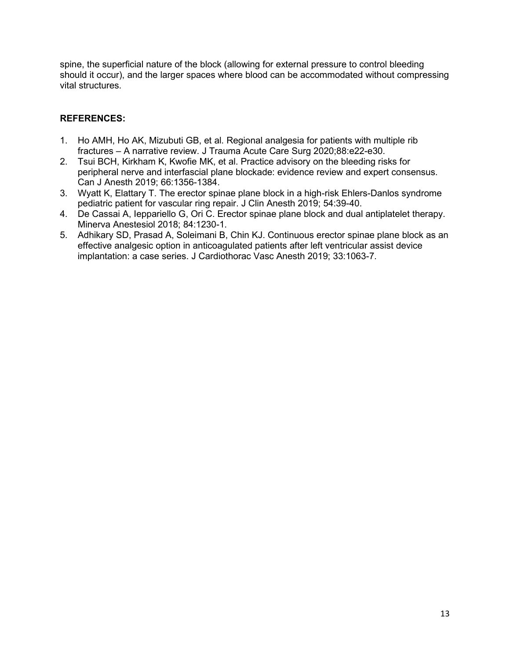spine, the superficial nature of the block (allowing for external pressure to control bleeding should it occur), and the larger spaces where blood can be accommodated without compressing vital structures.

- 1. Ho AMH, Ho AK, Mizubuti GB, et al. Regional analgesia for patients with multiple rib fractures – A narrative review. J Trauma Acute Care Surg 2020;88:e22-e30.
- 2. Tsui BCH, Kirkham K, Kwofie MK, et al. Practice advisory on the bleeding risks for peripheral nerve and interfascial plane blockade: evidence review and expert consensus. Can J Anesth 2019; 66:1356-1384.
- 3. Wyatt K, Elattary T. The erector spinae plane block in a high-risk Ehlers-Danlos syndrome pediatric patient for vascular ring repair. J Clin Anesth 2019; 54:39-40.
- 4. De Cassai A, Ieppariello G, Ori C. Erector spinae plane block and dual antiplatelet therapy. Minerva Anestesiol 2018; 84:1230-1.
- 5. Adhikary SD, Prasad A, Soleimani B, Chin KJ. Continuous erector spinae plane block as an effective analgesic option in anticoagulated patients after left ventricular assist device implantation: a case series. J Cardiothorac Vasc Anesth 2019; 33:1063-7.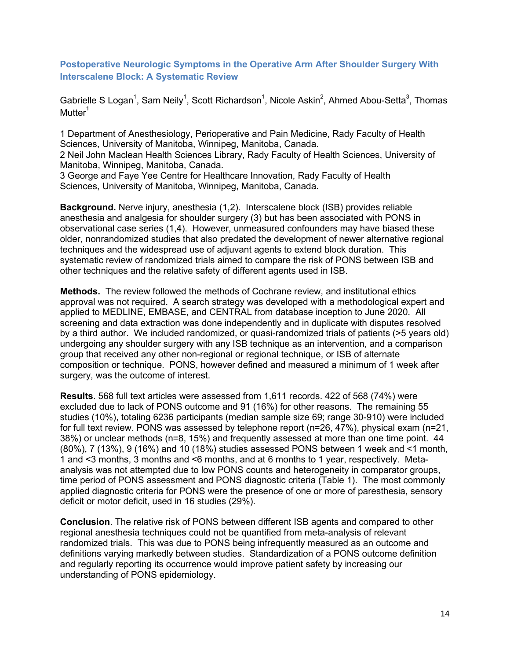<span id="page-13-0"></span>**Postoperative Neurologic Symptoms in the Operative Arm After Shoulder Surgery With Interscalene Block: A Systematic Review**

Gabrielle S Logan $^1$ , Sam Neily $^1$ , Scott Richardson $^1$ , Nicole Askin $^2$ , Ahmed Abou-Setta $^3$ , Thomas  $M$ utter $<sup>1</sup>$ </sup>

1 Department of Anesthesiology, Perioperative and Pain Medicine, Rady Faculty of Health Sciences, University of Manitoba, Winnipeg, Manitoba, Canada.

2 Neil John Maclean Health Sciences Library, Rady Faculty of Health Sciences, University of Manitoba, Winnipeg, Manitoba, Canada.

3 George and Faye Yee Centre for Healthcare Innovation, Rady Faculty of Health Sciences, University of Manitoba, Winnipeg, Manitoba, Canada.

**Background.** Nerve injury, anesthesia (1,2). Interscalene block (ISB) provides reliable anesthesia and analgesia for shoulder surgery (3) but has been associated with PONS in observational case series (1,4). However, unmeasured confounders may have biased these older, nonrandomized studies that also predated the development of newer alternative regional techniques and the widespread use of adjuvant agents to extend block duration. This systematic review of randomized trials aimed to compare the risk of PONS between ISB and other techniques and the relative safety of different agents used in ISB.

**Methods.** The review followed the methods of Cochrane review, and institutional ethics approval was not required. A search strategy was developed with a methodological expert and applied to MEDLINE, EMBASE, and CENTRAL from database inception to June 2020. All screening and data extraction was done independently and in duplicate with disputes resolved by a third author. We included randomized, or quasi-randomized trials of patients (>5 years old) undergoing any shoulder surgery with any ISB technique as an intervention, and a comparison group that received any other non-regional or regional technique, or ISB of alternate composition or technique. PONS, however defined and measured a minimum of 1 week after surgery, was the outcome of interest.

**Results**. 568 full text articles were assessed from 1,611 records. 422 of 568 (74%) were excluded due to lack of PONS outcome and 91 (16%) for other reasons. The remaining 55 studies (10%), totaling 6236 participants (median sample size 69; range 30-910) were included for full text review. PONS was assessed by telephone report (n=26, 47%), physical exam (n=21, 38%) or unclear methods (n=8, 15%) and frequently assessed at more than one time point. 44 (80%), 7 (13%), 9 (16%) and 10 (18%) studies assessed PONS between 1 week and <1 month, 1 and <3 months, 3 months and <6 months, and at 6 months to 1 year, respectively. Metaanalysis was not attempted due to low PONS counts and heterogeneity in comparator groups, time period of PONS assessment and PONS diagnostic criteria (Table 1). The most commonly applied diagnostic criteria for PONS were the presence of one or more of paresthesia, sensory deficit or motor deficit, used in 16 studies (29%).

**Conclusion**. The relative risk of PONS between different ISB agents and compared to other regional anesthesia techniques could not be quantified from meta-analysis of relevant randomized trials. This was due to PONS being infrequently measured as an outcome and definitions varying markedly between studies. Standardization of a PONS outcome definition and regularly reporting its occurrence would improve patient safety by increasing our understanding of PONS epidemiology.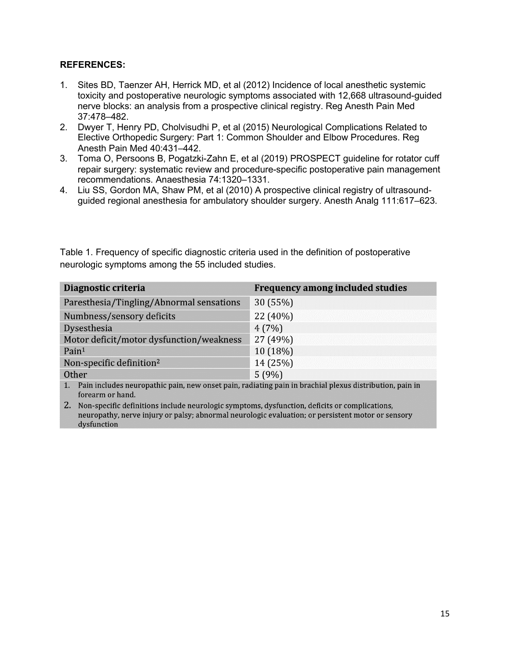#### **REFERENCES:**

- 1. Sites BD, Taenzer AH, Herrick MD, et al (2012) Incidence of local anesthetic systemic toxicity and postoperative neurologic symptoms associated with 12,668 ultrasound-guided nerve blocks: an analysis from a prospective clinical registry. Reg Anesth Pain Med 37:478–482.
- 2. Dwyer T, Henry PD, Cholvisudhi P, et al (2015) Neurological Complications Related to Elective Orthopedic Surgery: Part 1: Common Shoulder and Elbow Procedures. Reg Anesth Pain Med 40:431–442.
- 3. Toma O, Persoons B, Pogatzki-Zahn E, et al (2019) PROSPECT guideline for rotator cuff repair surgery: systematic review and procedure-specific postoperative pain management recommendations. Anaesthesia 74:1320–1331.
- 4. Liu SS, Gordon MA, Shaw PM, et al (2010) A prospective clinical registry of ultrasoundguided regional anesthesia for ambulatory shoulder surgery. Anesth Analg 111:617–623.

Table 1. Frequency of specific diagnostic criteria used in the definition of postoperative neurologic symptoms among the 55 included studies.

| Diagnostic criteria                      | <b>Frequency among included studies</b> |
|------------------------------------------|-----------------------------------------|
| Paresthesia/Tingling/Abnormal sensations | 30 (55%)                                |
| Numbness/sensory deficits                | 22 (40%)                                |
| Dysesthesia                              | 4(7%)                                   |
| Motor deficit/motor dysfunction/weakness | 27 (49%)                                |
| Pain <sup>1</sup>                        | 10 (18%)                                |
| Non-specific definition <sup>2</sup>     | 14 (25%)                                |
| Other                                    | 5(9%)                                   |

1. Pain includes neuropathic pain, new onset pain, radiating pain in brachial plexus distribution, pain in forearm or hand.

2. Non-specific definitions include neurologic symptoms, dysfunction, deficits or complications, neuropathy, nerve injury or palsy; abnormal neurologic evaluation; or persistent motor or sensory dysfunction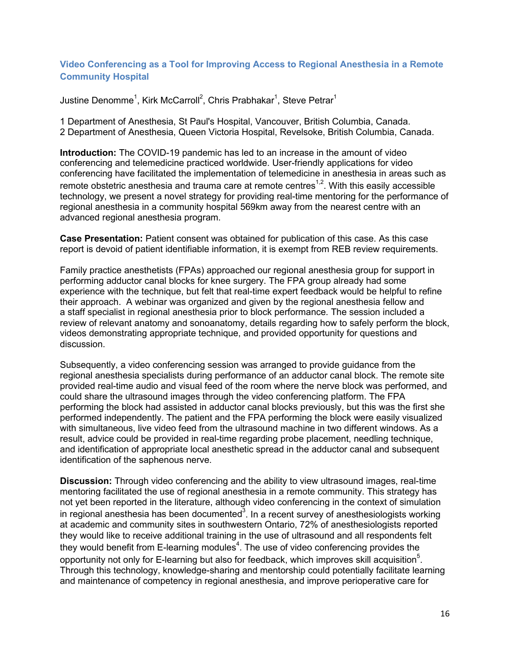#### <span id="page-15-0"></span>**Video Conferencing as a Tool for Improving Access to Regional Anesthesia in a Remote Community Hospital**

Justine Denomme $^1$ , Kirk McCarroll $^2$ , Chris Prabhakar $^1$ , Steve Petrar $^1$ 

1 Department of Anesthesia, St Paul's Hospital, Vancouver, British Columbia, Canada. 2 Department of Anesthesia, Queen Victoria Hospital, Revelsoke, British Columbia, Canada.

**Introduction:** The COVID-19 pandemic has led to an increase in the amount of video conferencing and telemedicine practiced worldwide. User-friendly applications for video conferencing have facilitated the implementation of telemedicine in anesthesia in areas such as remote obstetric anesthesia and trauma care at remote centres<sup>1,2</sup>. With this easily accessible technology, we present a novel strategy for providing real-time mentoring for the performance of regional anesthesia in a community hospital 569km away from the nearest centre with an advanced regional anesthesia program.

**Case Presentation:** Patient consent was obtained for publication of this case. As this case report is devoid of patient identifiable information, it is exempt from REB review requirements.

Family practice anesthetists (FPAs) approached our regional anesthesia group for support in performing adductor canal blocks for knee surgery. The FPA group already had some experience with the technique, but felt that real-time expert feedback would be helpful to refine their approach. A webinar was organized and given by the regional anesthesia fellow and a staff specialist in regional anesthesia prior to block performance. The session included a review of relevant anatomy and sonoanatomy, details regarding how to safely perform the block, videos demonstrating appropriate technique, and provided opportunity for questions and discussion.

Subsequently, a video conferencing session was arranged to provide guidance from the regional anesthesia specialists during performance of an adductor canal block. The remote site provided real-time audio and visual feed of the room where the nerve block was performed, and could share the ultrasound images through the video conferencing platform. The FPA performing the block had assisted in adductor canal blocks previously, but this was the first she performed independently. The patient and the FPA performing the block were easily visualized with simultaneous, live video feed from the ultrasound machine in two different windows. As a result, advice could be provided in real-time regarding probe placement, needling technique, and identification of appropriate local anesthetic spread in the adductor canal and subsequent identification of the saphenous nerve.

**Discussion:** Through video conferencing and the ability to view ultrasound images, real-time mentoring facilitated the use of regional anesthesia in a remote community. This strategy has not yet been reported in the literature, although video conferencing in the context of simulation in regional anesthesia has been documented $^3$ . In a recent survey of anesthesiologists working at academic and community sites in southwestern Ontario, 72% of anesthesiologists reported they would like to receive additional training in the use of ultrasound and all respondents felt they would benefit from E-learning modules $^4$ . The use of video conferencing provides the opportunity not only for E-learning but also for feedback, which improves skill acquisition $^5$ . Through this technology, knowledge-sharing and mentorship could potentially facilitate learning and maintenance of competency in regional anesthesia, and improve perioperative care for